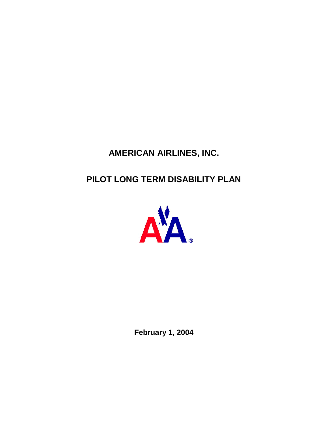# **AMERICAN AIRLINES, INC.**

**PILOT LONG TERM DISABILITY PLAN**



**February 1, 2004**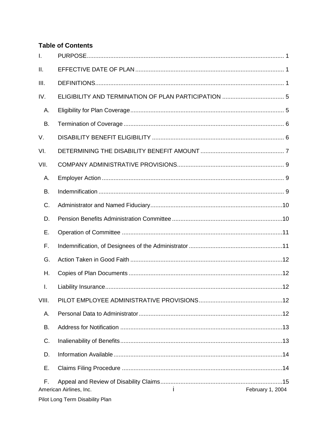## **Table of Contents**

| $\mathbf{I}$ . |                                 |                  |
|----------------|---------------------------------|------------------|
| II.            |                                 |                  |
| III.           |                                 |                  |
| IV.            |                                 |                  |
| Α.             |                                 |                  |
| В.             |                                 |                  |
| V.             |                                 |                  |
| VI.            |                                 |                  |
| VII.           |                                 |                  |
| Α.             |                                 |                  |
| В.             |                                 |                  |
| C.             |                                 |                  |
| D.             |                                 |                  |
| Ε.             |                                 |                  |
| F.             |                                 |                  |
| G.             |                                 |                  |
| Η.             |                                 |                  |
| I.             |                                 |                  |
| VIII.          |                                 |                  |
| Α.             |                                 |                  |
| В.             |                                 |                  |
| C.             |                                 |                  |
| D.             |                                 |                  |
| Ε.             |                                 |                  |
| F.             | j.<br>American Airlines, Inc.   | February 1, 2004 |
|                | Pilot Long Term Disability Plan |                  |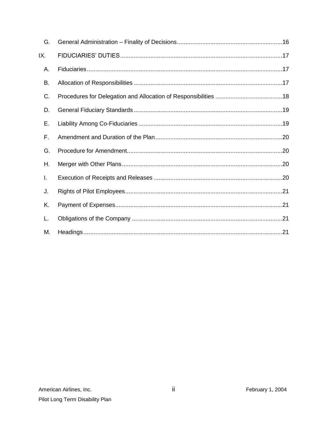| G.  |  |
|-----|--|
| IX. |  |
| Α.  |  |
| B.  |  |
| C.  |  |
| D.  |  |
| Ε.  |  |
| F.  |  |
| G.  |  |
| Н.  |  |
| I.  |  |
| J.  |  |
| Κ.  |  |
| L.  |  |
| M.  |  |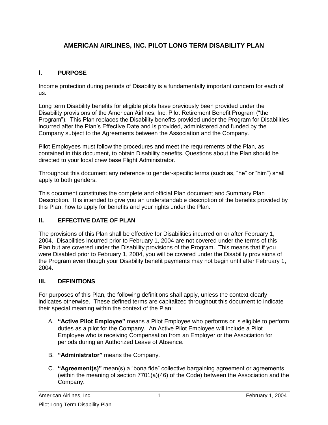# **AMERICAN AIRLINES, INC. PILOT LONG TERM DISABILITY PLAN**

## **I. PURPOSE**

Income protection during periods of Disability is a fundamentally important concern for each of us.

Long term Disability benefits for eligible pilots have previously been provided under the Disability provisions of the American Airlines, Inc. Pilot Retirement Benefit Program ("the Program"). This Plan replaces the Disability benefits provided under the Program for Disabilities incurred after the Plan's Effective Date and is provided, administered and funded by the Company subject to the Agreements between the Association and the Company.

Pilot Employees must follow the procedures and meet the requirements of the Plan, as contained in this document, to obtain Disability benefits. Questions about the Plan should be directed to your local crew base Flight Administrator.

Throughout this document any reference to gender-specific terms (such as, "he" or "him") shall apply to both genders.

This document constitutes the complete and official Plan document and Summary Plan Description. It is intended to give you an understandable description of the benefits provided by this Plan, how to apply for benefits and your rights under the Plan.

## **II. EFFECTIVE DATE OF PLAN**

The provisions of this Plan shall be effective for Disabilities incurred on or after February 1, 2004. Disabilities incurred prior to February 1, 2004 are not covered under the terms of this Plan but are covered under the Disability provisions of the Program. This means that if you were Disabled prior to February 1, 2004, you will be covered under the Disability provisions of the Program even though your Disability benefit payments may not begin until after February 1, 2004.

## **III. DEFINITIONS**

For purposes of this Plan, the following definitions shall apply, unless the context clearly indicates otherwise. These defined terms are capitalized throughout this document to indicate their special meaning within the context of the Plan:

- A. **"Active Pilot Employee"** means a Pilot Employee who performs or is eligible to perform duties as a pilot for the Company. An Active Pilot Employee will include a Pilot Employee who is receiving Compensation from an Employer or the Association for periods during an Authorized Leave of Absence.
- B. **"Administrator"** means the Company.
- C. **"Agreement(s)"** mean(s) a "bona fide" collective bargaining agreement or agreements (within the meaning of section 7701(a)(46) of the Code) between the Association and the Company.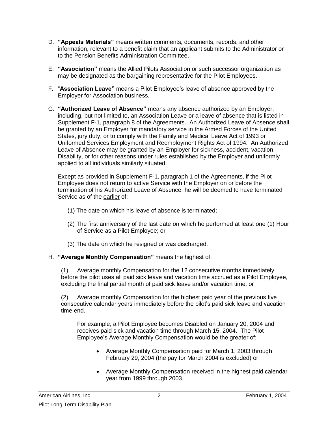- D. **"Appeals Materials"** means written comments, documents, records, and other information, relevant to a benefit claim that an applicant submits to the Administrator or to the Pension Benefits Administration Committee.
- E. **"Association"** means the Allied Pilots Association or such successor organization as may be designated as the bargaining representative for the Pilot Employees.
- F. "**Association Leave"** means a Pilot Employee's leave of absence approved by the Employer for Association business.
- G. **"Authorized Leave of Absence"** means any absence authorized by an Employer, including, but not limited to, an Association Leave or a leave of absence that is listed in Supplement F-1, paragraph 8 of the Agreements. An Authorized Leave of Absence shall be granted by an Employer for mandatory service in the Armed Forces of the United States, jury duty, or to comply with the Family and Medical Leave Act of 1993 or Uniformed Services Employment and Reemployment Rights Act of 1994. An Authorized Leave of Absence may be granted by an Employer for sickness, accident, vacation, Disability, or for other reasons under rules established by the Employer and uniformly applied to all individuals similarly situated.

Except as provided in Supplement F-1, paragraph 1 of the Agreements, if the Pilot Employee does not return to active Service with the Employer on or before the termination of his Authorized Leave of Absence, he will be deemed to have terminated Service as of the earlier of:

- (1) The date on which his leave of absence is terminated;
- (2) The first anniversary of the last date on which he performed at least one (1) Hour of Service as a Pilot Employee; or
- (3) The date on which he resigned or was discharged.

## H. **"Average Monthly Compensation"** means the highest of:

(1) Average monthly Compensation for the 12 consecutive months immediately before the pilot uses all paid sick leave and vacation time accrued as a Pilot Employee, excluding the final partial month of paid sick leave and/or vacation time, or

(2) Average monthly Compensation for the highest paid year of the previous five consecutive calendar years immediately before the pilot's paid sick leave and vacation time end.

For example, a Pilot Employee becomes Disabled on January 20, 2004 and receives paid sick and vacation time through March 15, 2004. The Pilot Employee's Average Monthly Compensation would be the greater of:

- Average Monthly Compensation paid for March 1, 2003 through February 29, 2004 (the pay for March 2004 is excluded) or
- Average Monthly Compensation received in the highest paid calendar year from 1999 through 2003.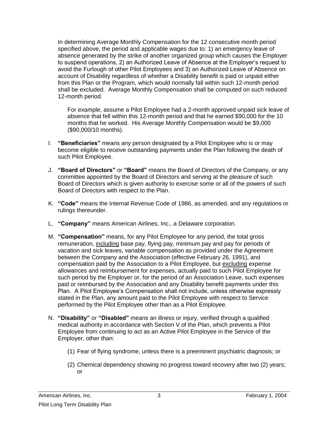In determining Average Monthly Compensation for the 12 consecutive month period specified above, the period and applicable wages due to: 1) an emergency leave of absence generated by the strike of another organized group which causes the Employer to suspend operations, 2) an Authorized Leave of Absence at the Employer's request to avoid the Furlough of other Pilot Employees and 3) an Authorized Leave of Absence on account of Disability regardless of whether a Disability benefit is paid or unpaid either from this Plan or the Program, which would normally fall within such 12-month period shall be excluded. Average Monthly Compensation shall be computed on such reduced 12-month period.

For example, assume a Pilot Employee had a 2-month approved unpaid sick leave of absence that fell within this 12-month period and that he earned \$90,000 for the 10 months that he worked. His Average Monthly Compensation would be \$9,000 (\$90,000/10 months).

- I. **"Beneficiaries"** means any person designated by a Pilot Employee who is or may become eligible to receive outstanding payments under the Plan following the death of such Pilot Employee.
- J. **"Board of Directors"** or **"Board"** means the Board of Directors of the Company, or any committee appointed by the Board of Directors and serving at the pleasure of such Board of Directors which is given authority to exercise some or all of the powers of such Board of Directors with respect to the Plan.
- K. **"Code"** means the Internal Revenue Code of 1986, as amended, and any regulations or rulings thereunder.
- L. **"Company"** means American Airlines, Inc., a Delaware corporation.
- M. **"Compensation"** means, for any Pilot Employee for any period, the total gross remuneration, including base pay, flying pay, minimum pay and pay for periods of vacation and sick leaves, variable compensation as provided under the Agreement between the Company and the Association (effective February 26, 1991), and compensation paid by the Association to a Pilot Employee, but excluding expense allowances and reimbursement for expenses, actually paid to such Pilot Employee for such period by the Employer or, for the period of an Association Leave, such expenses paid or reimbursed by the Association and any Disability benefit payments under this Plan. A Pilot Employee's Compensation shall not include, unless otherwise expressly stated in the Plan, any amount paid to the Pilot Employee with respect to Service performed by the Pilot Employee other than as a Pilot Employee.
- N. **"Disability"** or **"Disabled"** means an illness or injury, verified through a qualified medical authority in accordance with Section V of the Plan, which prevents a Pilot Employee from continuing to act as an Active Pilot Employee in the Service of the Employer, other than:
	- (1) Fear of flying syndrome, unless there is a preeminent psychiatric diagnosis; or
	- (2) Chemical dependency showing no progress toward recovery after two (2) years; or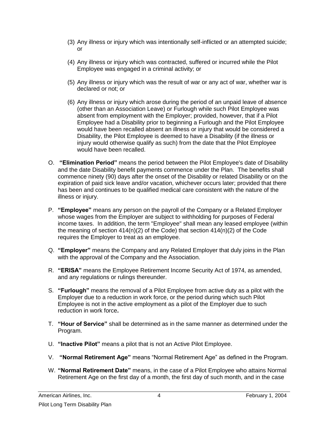- (3) Any illness or injury which was intentionally self-inflicted or an attempted suicide; or
- (4) Any illness or injury which was contracted, suffered or incurred while the Pilot Employee was engaged in a criminal activity; or
- (5) Any illness or injury which was the result of war or any act of war, whether war is declared or not; or
- (6) Any illness or injury which arose during the period of an unpaid leave of absence (other than an Association Leave) or Furlough while such Pilot Employee was absent from employment with the Employer; provided, however, that if a Pilot Employee had a Disability prior to beginning a Furlough and the Pilot Employee would have been recalled absent an illness or injury that would be considered a Disability, the Pilot Employee is deemed to have a Disability (if the illness or injury would otherwise qualify as such) from the date that the Pilot Employee would have been recalled.
- O. **"Elimination Period"** means the period between the Pilot Employee's date of Disability and the date Disability benefit payments commence under the Plan. The benefits shall commence ninety (90) days after the onset of the Disability or related Disability or on the expiration of paid sick leave and/or vacation, whichever occurs later; provided that there has been and continues to be qualified medical care consistent with the nature of the illness or injury.
- P. **"Employee"** means any person on the payroll of the Company or a Related Employer whose wages from the Employer are subject to withholding for purposes of Federal income taxes. In addition, the term "Employee" shall mean any leased employee (within the meaning of section  $414(n)(2)$  of the Code) that section  $414(n)(2)$  of the Code requires the Employer to treat as an employee.
- Q. **"Employer"** means the Company and any Related Employer that duly joins in the Plan with the approval of the Company and the Association.
- R. **"ERISA"** means the Employee Retirement Income Security Act of 1974, as amended, and any regulations or rulings thereunder.
- S. **"Furlough"** means the removal of a Pilot Employee from active duty as a pilot with the Employer due to a reduction in work force, or the period during which such Pilot Employee is not in the active employment as a pilot of the Employer due to such reduction in work force**.**
- T. **"Hour of Service"** shall be determined as in the same manner as determined under the Program.
- U. **"Inactive Pilot"** means a pilot that is not an Active Pilot Employee.
- V. **"Normal Retirement Age"** means "Normal Retirement Age" as defined in the Program.
- W. **"Normal Retirement Date"** means, in the case of a Pilot Employee who attains Normal Retirement Age on the first day of a month, the first day of such month, and in the case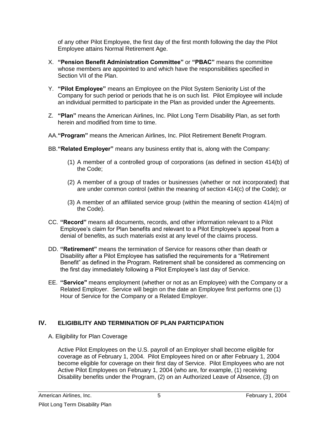of any other Pilot Employee, the first day of the first month following the day the Pilot Employee attains Normal Retirement Age.

- X. **"Pension Benefit Administration Committee"** or **"PBAC"** means the committee whose members are appointed to and which have the responsibilities specified in Section VII of the Plan.
- Y. **"Pilot Employee"** means an Employee on the Pilot System Seniority List of the Company for such period or periods that he is on such list. Pilot Employee will include an individual permitted to participate in the Plan as provided under the Agreements.
- Z. **"Plan"** means the American Airlines, Inc. Pilot Long Term Disability Plan, as set forth herein and modified from time to time.
- AA.**"Program"** means the American Airlines, Inc. Pilot Retirement Benefit Program.
- BB.**"Related Employer"** means any business entity that is, along with the Company:
	- (1) A member of a controlled group of corporations (as defined in section 414(b) of the Code;
	- (2) A member of a group of trades or businesses (whether or not incorporated) that are under common control (within the meaning of section 414(c) of the Code); or
	- (3) A member of an affiliated service group (within the meaning of section 414(m) of the Code).
- CC. **"Record"** means all documents, records, and other information relevant to a Pilot Employee's claim for Plan benefits and relevant to a Pilot Employee's appeal from a denial of benefits, as such materials exist at any level of the claims process.
- DD. **"Retirement"** means the termination of Service for reasons other than death or Disability after a Pilot Employee has satisfied the requirements for a "Retirement Benefit" as defined in the Program. Retirement shall be considered as commencing on the first day immediately following a Pilot Employee's last day of Service.
- EE. **"Service"** means employment (whether or not as an Employee) with the Company or a Related Employer. Service will begin on the date an Employee first performs one (1) Hour of Service for the Company or a Related Employer.

## **IV. ELIGIBILITY AND TERMINATION OF PLAN PARTICIPATION**

A. Eligibility for Plan Coverage

Active Pilot Employees on the U.S. payroll of an Employer shall become eligible for coverage as of February 1, 2004. Pilot Employees hired on or after February 1, 2004 become eligible for coverage on their first day of Service. Pilot Employees who are not Active Pilot Employees on February 1, 2004 (who are, for example, (1) receiving Disability benefits under the Program, (2) on an Authorized Leave of Absence, (3) on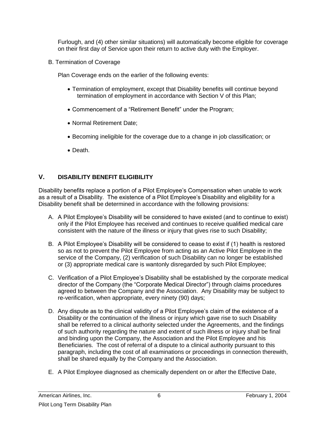Furlough, and (4) other similar situations) will automatically become eligible for coverage on their first day of Service upon their return to active duty with the Employer.

B. Termination of Coverage

Plan Coverage ends on the earlier of the following events:

- Termination of employment, except that Disability benefits will continue beyond termination of employment in accordance with Section V of this Plan;
- Commencement of a "Retirement Benefit" under the Program;
- Normal Retirement Date;
- Becoming ineligible for the coverage due to a change in job classification; or
- Death.

## **V. DISABILITY BENEFIT ELIGIBILITY**

Disability benefits replace a portion of a Pilot Employee's Compensation when unable to work as a result of a Disability. The existence of a Pilot Employee's Disability and eligibility for a Disability benefit shall be determined in accordance with the following provisions:

- A. A Pilot Employee's Disability will be considered to have existed (and to continue to exist) only if the Pilot Employee has received and continues to receive qualified medical care consistent with the nature of the illness or injury that gives rise to such Disability;
- B. A Pilot Employee's Disability will be considered to cease to exist if (1) health is restored so as not to prevent the Pilot Employee from acting as an Active Pilot Employee in the service of the Company, (2) verification of such Disability can no longer be established or (3) appropriate medical care is wantonly disregarded by such Pilot Employee;
- C. Verification of a Pilot Employee's Disability shall be established by the corporate medical director of the Company (the "Corporate Medical Director") through claims procedures agreed to between the Company and the Association. Any Disability may be subject to re-verification, when appropriate, every ninety (90) days;
- D. Any dispute as to the clinical validity of a Pilot Employee's claim of the existence of a Disability or the continuation of the illness or injury which gave rise to such Disability shall be referred to a clinical authority selected under the Agreements, and the findings of such authority regarding the nature and extent of such illness or injury shall be final and binding upon the Company, the Association and the Pilot Employee and his Beneficiaries. The cost of referral of a dispute to a clinical authority pursuant to this paragraph, including the cost of all examinations or proceedings in connection therewith, shall be shared equally by the Company and the Association.
- E. A Pilot Employee diagnosed as chemically dependent on or after the Effective Date,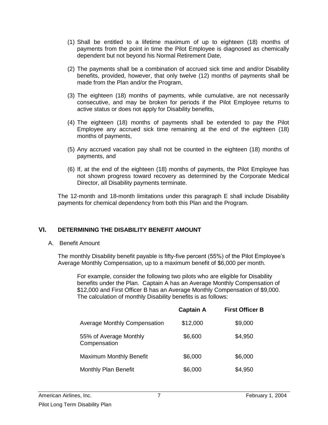- (1) Shall be entitled to a lifetime maximum of up to eighteen (18) months of payments from the point in time the Pilot Employee is diagnosed as chemically dependent but not beyond his Normal Retirement Date,
- (2) The payments shall be a combination of accrued sick time and and/or Disability benefits, provided, however, that only twelve (12) months of payments shall be made from the Plan and/or the Program,
- (3) The eighteen (18) months of payments, while cumulative, are not necessarily consecutive, and may be broken for periods if the Pilot Employee returns to active status or does not apply for Disability benefits,
- (4) The eighteen (18) months of payments shall be extended to pay the Pilot Employee any accrued sick time remaining at the end of the eighteen (18) months of payments,
- (5) Any accrued vacation pay shall not be counted in the eighteen (18) months of payments, and
- (6) If, at the end of the eighteen (18) months of payments, the Pilot Employee has not shown progress toward recovery as determined by the Corporate Medical Director, all Disability payments terminate.

The 12-month and 18-month limitations under this paragraph E shall include Disability payments for chemical dependency from both this Plan and the Program.

#### **VI. DETERMINING THE DISABILITY BENEFIT AMOUNT**

A. Benefit Amount

The monthly Disability benefit payable is fifty-five percent (55%) of the Pilot Employee's Average Monthly Compensation, up to a maximum benefit of \$6,000 per month.

For example, consider the following two pilots who are eligible for Disability benefits under the Plan. Captain A has an Average Monthly Compensation of \$12,000 and First Officer B has an Average Monthly Compensation of \$9,000. The calculation of monthly Disability benefits is as follows:

|                                        | <b>Captain A</b> | <b>First Officer B</b> |
|----------------------------------------|------------------|------------------------|
| <b>Average Monthly Compensation</b>    | \$12,000         | \$9,000                |
| 55% of Average Monthly<br>Compensation | \$6,600          | \$4,950                |
| <b>Maximum Monthly Benefit</b>         | \$6,000          | \$6,000                |
| Monthly Plan Benefit                   | \$6,000          | \$4,950                |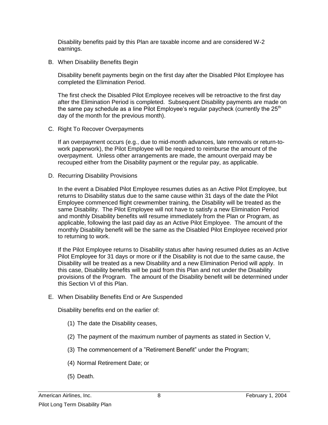Disability benefits paid by this Plan are taxable income and are considered W-2 earnings.

B. When Disability Benefits Begin

Disability benefit payments begin on the first day after the Disabled Pilot Employee has completed the Elimination Period.

The first check the Disabled Pilot Employee receives will be retroactive to the first day after the Elimination Period is completed. Subsequent Disability payments are made on the same pay schedule as a line Pilot Employee's regular paycheck (currently the  $25<sup>th</sup>$ day of the month for the previous month).

C. Right To Recover Overpayments

If an overpayment occurs (e.g., due to mid-month advances, late removals or return-towork paperwork), the Pilot Employee will be required to reimburse the amount of the overpayment. Unless other arrangements are made, the amount overpaid may be recouped either from the Disability payment or the regular pay, as applicable.

D. Recurring Disability Provisions

In the event a Disabled Pilot Employee resumes duties as an Active Pilot Employee, but returns to Disability status due to the same cause within 31 days of the date the Pilot Employee commenced flight crewmember training, the Disability will be treated as the same Disability. The Pilot Employee will not have to satisfy a new Elimination Period and monthly Disability benefits will resume immediately from the Plan or Program, as applicable, following the last paid day as an Active Pilot Employee. The amount of the monthly Disability benefit will be the same as the Disabled Pilot Employee received prior to returning to work.

If the Pilot Employee returns to Disability status after having resumed duties as an Active Pilot Employee for 31 days or more or if the Disability is not due to the same cause, the Disability will be treated as a new Disability and a new Elimination Period will apply. In this case, Disability benefits will be paid from this Plan and not under the Disability provisions of the Program. The amount of the Disability benefit will be determined under this Section VI of this Plan.

E. When Disability Benefits End or Are Suspended

Disability benefits end on the earlier of:

- (1) The date the Disability ceases,
- (2) The payment of the maximum number of payments as stated in Section V,
- (3) The commencement of a "Retirement Benefit" under the Program;
- (4) Normal Retirement Date; or
- (5) Death.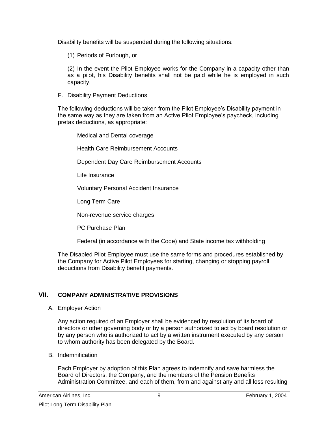Disability benefits will be suspended during the following situations:

(1) Periods of Furlough, or

(2) In the event the Pilot Employee works for the Company in a capacity other than as a pilot, his Disability benefits shall not be paid while he is employed in such capacity.

F. Disability Payment Deductions

The following deductions will be taken from the Pilot Employee's Disability payment in the same way as they are taken from an Active Pilot Employee's paycheck, including pretax deductions, as appropriate:

Medical and Dental coverage

Health Care Reimbursement Accounts

Dependent Day Care Reimbursement Accounts

Life Insurance

Voluntary Personal Accident Insurance

Long Term Care

Non-revenue service charges

PC Purchase Plan

Federal (in accordance with the Code) and State income tax withholding

The Disabled Pilot Employee must use the same forms and procedures established by the Company for Active Pilot Employees for starting, changing or stopping payroll deductions from Disability benefit payments.

## **VII. COMPANY ADMINISTRATIVE PROVISIONS**

A. Employer Action

Any action required of an Employer shall be evidenced by resolution of its board of directors or other governing body or by a person authorized to act by board resolution or by any person who is authorized to act by a written instrument executed by any person to whom authority has been delegated by the Board.

B. Indemnification

Each Employer by adoption of this Plan agrees to indemnify and save harmless the Board of Directors, the Company, and the members of the Pension Benefits Administration Committee, and each of them, from and against any and all loss resulting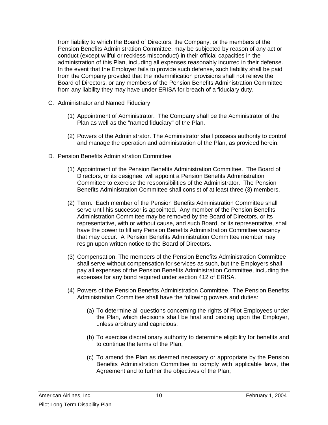from liability to which the Board of Directors, the Company, or the members of the Pension Benefits Administration Committee, may be subjected by reason of any act or conduct (except willful or reckless misconduct) in their official capacities in the administration of this Plan, including all expenses reasonably incurred in their defense. In the event that the Employer fails to provide such defense, such liability shall be paid from the Company provided that the indemnification provisions shall not relieve the Board of Directors, or any members of the Pension Benefits Administration Committee from any liability they may have under ERISA for breach of a fiduciary duty.

- C. Administrator and Named Fiduciary
	- (1) Appointment of Administrator. The Company shall be the Administrator of the Plan as well as the "named fiduciary" of the Plan.
	- (2) Powers of the Administrator. The Administrator shall possess authority to control and manage the operation and administration of the Plan, as provided herein.
- D. Pension Benefits Administration Committee
	- (1) Appointment of the Pension Benefits Administration Committee. The Board of Directors, or its designee, will appoint a Pension Benefits Administration Committee to exercise the responsibilities of the Administrator. The Pension Benefits Administration Committee shall consist of at least three (3) members.
	- (2) Term. Each member of the Pension Benefits Administration Committee shall serve until his successor is appointed. Any member of the Pension Benefits Administration Committee may be removed by the Board of Directors, or its representative, with or without cause, and such Board, or its representative, shall have the power to fill any Pension Benefits Administration Committee vacancy that may occur. A Pension Benefits Administration Committee member may resign upon written notice to the Board of Directors.
	- (3) Compensation. The members of the Pension Benefits Administration Committee shall serve without compensation for services as such, but the Employers shall pay all expenses of the Pension Benefits Administration Committee, including the expenses for any bond required under section 412 of ERISA.
	- (4) Powers of the Pension Benefits Administration Committee. The Pension Benefits Administration Committee shall have the following powers and duties:
		- (a) To determine all questions concerning the rights of Pilot Employees under the Plan, which decisions shall be final and binding upon the Employer, unless arbitrary and capricious;
		- (b) To exercise discretionary authority to determine eligibility for benefits and to continue the terms of the Plan;
		- (c) To amend the Plan as deemed necessary or appropriate by the Pension Benefits Administration Committee to comply with applicable laws, the Agreement and to further the objectives of the Plan;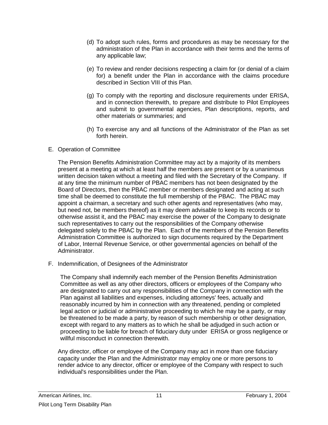- (d) To adopt such rules, forms and procedures as may be necessary for the administration of the Plan in accordance with their terms and the terms of any applicable law;
- (e) To review and render decisions respecting a claim for (or denial of a claim for) a benefit under the Plan in accordance with the claims procedure described in Section VIII of this Plan.
- (g) To comply with the reporting and disclosure requirements under ERISA, and in connection therewith, to prepare and distribute to Pilot Employees and submit to governmental agencies, Plan descriptions, reports, and other materials or summaries; and
- (h) To exercise any and all functions of the Administrator of the Plan as set forth herein.
- E. Operation of Committee

The Pension Benefits Administration Committee may act by a majority of its members present at a meeting at which at least half the members are present or by a unanimous written decision taken without a meeting and filed with the Secretary of the Company. If at any time the minimum number of PBAC members has not been designated by the Board of Directors, then the PBAC member or members designated and acting at such time shall be deemed to constitute the full membership of the PBAC. The PBAC may appoint a chairman, a secretary and such other agents and representatives (who may, but need not, be members thereof) as it may deem advisable to keep its records or to otherwise assist it, and the PBAC may exercise the power of the Company to designate such representatives to carry out the responsibilities of the Company otherwise delegated solely to the PBAC by the Plan. Each of the members of the Pension Benefits Administration Committee is authorized to sign documents required by the Department of Labor, Internal Revenue Service, or other governmental agencies on behalf of the Administrator.

F. Indemnification, of Designees of the Administrator

The Company shall indemnify each member of the Pension Benefits Administration Committee as well as any other directors, officers or employees of the Company who are designated to carry out any responsibilities of the Company in connection with the Plan against all liabilities and expenses, including attorneys' fees, actually and reasonably incurred by him in connection with any threatened, pending or completed legal action or judicial or administrative proceeding to which he may be a party, or may be threatened to be made a party, by reason of such membership or other designation, except with regard to any matters as to which he shall be adjudged in such action or proceeding to be liable for breach of fiduciary duty under ERISA or gross negligence or willful misconduct in connection therewith.

Any director, officer or employee of the Company may act in more than one fiduciary capacity under the Plan and the Administrator may employ one or more persons to render advice to any director, officer or employee of the Company with respect to such individual's responsibilities under the Plan.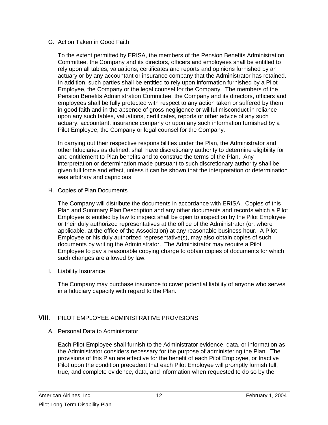#### G. Action Taken in Good Faith

To the extent permitted by ERISA, the members of the Pension Benefits Administration Committee, the Company and its directors, officers and employees shall be entitled to rely upon all tables, valuations, certificates and reports and opinions furnished by an actuary or by any accountant or insurance company that the Administrator has retained. In addition, such parties shall be entitled to rely upon information furnished by a Pilot Employee, the Company or the legal counsel for the Company. The members of the Pension Benefits Administration Committee, the Company and its directors, officers and employees shall be fully protected with respect to any action taken or suffered by them in good faith and in the absence of gross negligence or willful misconduct in reliance upon any such tables, valuations, certificates, reports or other advice of any such actuary, accountant, insurance company or upon any such information furnished by a Pilot Employee, the Company or legal counsel for the Company.

In carrying out their respective responsibilities under the Plan, the Administrator and other fiduciaries as defined, shall have discretionary authority to determine eligibility for and entitlement to Plan benefits and to construe the terms of the Plan. Any interpretation or determination made pursuant to such discretionary authority shall be given full force and effect, unless it can be shown that the interpretation or determination was arbitrary and capricious.

H. Copies of Plan Documents

The Company will distribute the documents in accordance with ERISA. Copies of this Plan and Summary Plan Description and any other documents and records which a Pilot Employee is entitled by law to inspect shall be open to inspection by the Pilot Employee or their duly authorized representatives at the office of the Administrator (or, where applicable, at the office of the Association) at any reasonable business hour. A Pilot Employee or his duly authorized representative(s), may also obtain copies of such documents by writing the Administrator. The Administrator may require a Pilot Employee to pay a reasonable copying charge to obtain copies of documents for which such changes are allowed by law.

I. Liability Insurance

The Company may purchase insurance to cover potential liability of anyone who serves in a fiduciary capacity with regard to the Plan.

## **VIII.** PILOT EMPLOYEE ADMINISTRATIVE PROVISIONS

## A. Personal Data to Administrator

Each Pilot Employee shall furnish to the Administrator evidence, data, or information as the Administrator considers necessary for the purpose of administering the Plan. The provisions of this Plan are effective for the benefit of each Pilot Employee, or Inactive Pilot upon the condition precedent that each Pilot Employee will promptly furnish full, true, and complete evidence, data, and information when requested to do so by the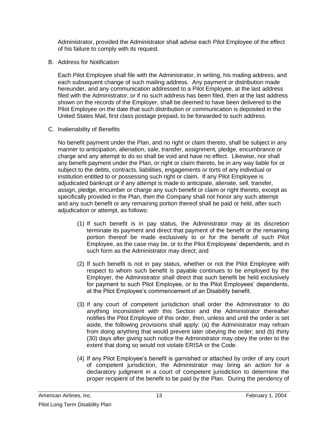Administrator, provided the Administrator shall advise each Pilot Employee of the effect of his failure to comply with its request.

B. Address for Notification

Each Pilot Employee shall file with the Administrator, in writing, his mailing address, and each subsequent change of such mailing address. Any payment or distribution made hereunder, and any communication addressed to a Pilot Employee, at the last address filed with the Administrator, or if no such address has been filed, then at the last address shown on the records of the Employer, shall be deemed to have been delivered to the Pilot Employee on the date that such distribution or communication is deposited in the United States Mail, first class postage prepaid, to be forwarded to such address.

C. Inalienability of Benefits

No benefit payment under the Plan, and no right or claim thereto, shall be subject in any manner to anticipation, alienation, sale, transfer, assignment, pledge, encumbrance or charge and any attempt to do so shall be void and have no effect. Likewise, nor shall any benefit payment under the Plan, or right or claim thereto, be in any way liable for or subject to the debts, contracts, liabilities, engagements or torts of any individual or institution entitled to or possessing such right or claim. If any Pilot Employee is adjudicated bankrupt or if any attempt is made to anticipate, alienate, sell, transfer, assign, pledge, encumber or charge any such benefit or claim or right thereto, except as specifically provided in the Plan, then the Company shall not honor any such attempt and any such benefit or any remaining portion thereof shall be paid or held, after such adjudication or attempt, as follows:

- (1) If such benefit is in pay status, the Administrator may at its discretion terminate its payment and direct that payment of the benefit or the remaining portion thereof be made exclusively to or for the benefit of such Pilot Employee, as the case may be, or to the Pilot Employees' dependents, and in such form as the Administrator may direct; and
- (2) If such benefit is not in pay status, whether or not the Pilot Employee with respect to whom such benefit is payable continues to be employed by the Employer, the Administrator shall direct that such benefit be held exclusively for payment to such Pilot Employee, or to the Pilot Employees' dependents, at the Pilot Employee's commencement of an Disability benefit.
- (3) If any court of competent jurisdiction shall order the Administrator to do anything inconsistent with this Section and the Administrator thereafter notifies the Pilot Employee of this order, then, unless and until the order is set aside, the following provisions shall apply: (a) the Administrator may refrain from doing anything that would prevent later obeying the order; and (b) thirty (30) days after giving such notice the Administrator may obey the order to the extent that doing so would not violate ERISA or the Code.
- (4) If any Pilot Employee's benefit is garnished or attached by order of any court of competent jurisdiction, the Administrator may bring an action for a declaratory judgment in a court of competent jurisdiction to determine the proper recipient of the benefit to be paid by the Plan. During the pendency of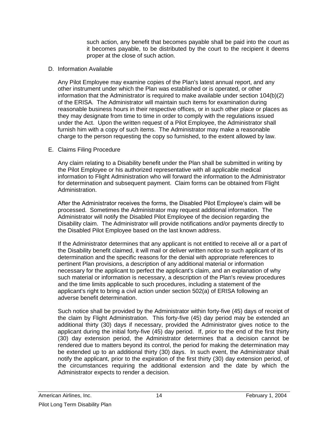such action, any benefit that becomes payable shall be paid into the court as it becomes payable, to be distributed by the court to the recipient it deems proper at the close of such action.

#### D. Information Available

Any Pilot Employee may examine copies of the Plan's latest annual report, and any other instrument under which the Plan was established or is operated, or other information that the Administrator is required to make available under section 104(b)(2) of the ERISA. The Administrator will maintain such items for examination during reasonable business hours in their respective offices, or in such other place or places as they may designate from time to time in order to comply with the regulations issued under the Act. Upon the written request of a Pilot Employee, the Administrator shall furnish him with a copy of such items. The Administrator may make a reasonable charge to the person requesting the copy so furnished, to the extent allowed by law.

#### E. Claims Filing Procedure

Any claim relating to a Disability benefit under the Plan shall be submitted in writing by the Pilot Employee or his authorized representative with all applicable medical information to Flight Administration who will forward the information to the Administrator for determination and subsequent payment. Claim forms can be obtained from Flight Administration.

After the Administrator receives the forms, the Disabled Pilot Employee's claim will be processed. Sometimes the Administrator may request additional information. The Administrator will notify the Disabled Pilot Employee of the decision regarding the Disability claim. The Administrator will provide notifications and/or payments directly to the Disabled Pilot Employee based on the last known address.

If the Administrator determines that any applicant is not entitled to receive all or a part of the Disability benefit claimed, it will mail or deliver written notice to such applicant of its determination and the specific reasons for the denial with appropriate references to pertinent Plan provisions, a description of any additional material or information necessary for the applicant to perfect the applicant's claim, and an explanation of why such material or information is necessary, a description of the Plan's review procedures and the time limits applicable to such procedures, including a statement of the applicant's right to bring a civil action under section 502(a) of ERISA following an adverse benefit determination.

Such notice shall be provided by the Administrator within forty-five (45) days of receipt of the claim by Flight Administration. This forty-five (45) day period may be extended an additional thirty (30) days if necessary, provided the Administrator gives notice to the applicant during the initial forty-five (45) day period. If, prior to the end of the first thirty (30) day extension period, the Administrator determines that a decision cannot be rendered due to matters beyond its control, the period for making the determination may be extended up to an additional thirty (30) days. In such event, the Administrator shall notify the applicant, prior to the expiration of the first thirty (30) day extension period, of the circumstances requiring the additional extension and the date by which the Administrator expects to render a decision.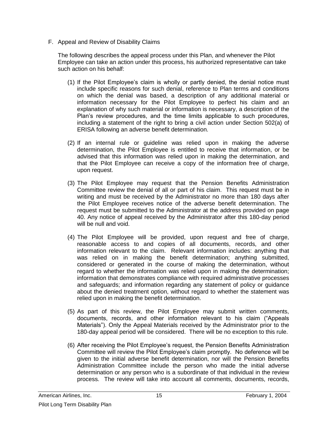F. Appeal and Review of Disability Claims

The following describes the appeal process under this Plan, and whenever the Pilot Employee can take an action under this process, his authorized representative can take such action on his behalf:

- (1) If the Pilot Employee's claim is wholly or partly denied, the denial notice must include specific reasons for such denial, reference to Plan terms and conditions on which the denial was based, a description of any additional material or information necessary for the Pilot Employee to perfect his claim and an explanation of why such material or information is necessary, a description of the Plan's review procedures, and the time limits applicable to such procedures, including a statement of the right to bring a civil action under Section 502(a) of ERISA following an adverse benefit determination.
- (2) If an internal rule or guideline was relied upon in making the adverse determination, the Pilot Employee is entitled to receive that information, or be advised that this information was relied upon in making the determination, and that the Pilot Employee can receive a copy of the information free of charge, upon request.
- (3) The Pilot Employee may request that the Pension Benefits Administration Committee review the denial of all or part of his claim. This request must be in writing and must be received by the Administrator no more than 180 days after the Pilot Employee receives notice of the adverse benefit determination. The request must be submitted to the Administrator at the address provided on page 40. Any notice of appeal received by the Administrator after this 180-day period will be null and void.
- (4) The Pilot Employee will be provided, upon request and free of charge, reasonable access to and copies of all documents, records, and other information relevant to the claim. Relevant information includes: anything that was relied on in making the benefit determination; anything submitted, considered or generated in the course of making the determination, without regard to whether the information was relied upon in making the determination; information that demonstrates compliance with required administrative processes and safeguards; and information regarding any statement of policy or guidance about the denied treatment option, without regard to whether the statement was relied upon in making the benefit determination.
- (5) As part of this review, the Pilot Employee may submit written comments, documents, records, and other information relevant to his claim ("Appeals Materials"). Only the Appeal Materials received by the Administrator prior to the 180-day appeal period will be considered. There will be no exception to this rule.
- (6) After receiving the Pilot Employee's request, the Pension Benefits Administration Committee will review the Pilot Employee's claim promptly. No deference will be given to the initial adverse benefit determination, nor will the Pension Benefits Administration Committee include the person who made the initial adverse determination or any person who is a subordinate of that individual in the review process. The review will take into account all comments, documents, records,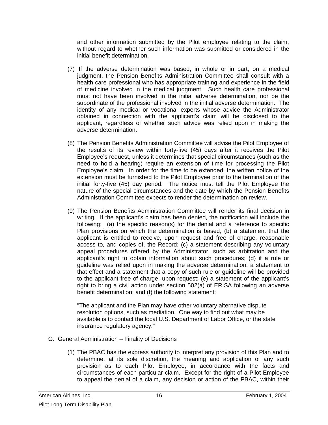and other information submitted by the Pilot employee relating to the claim, without regard to whether such information was submitted or considered in the initial benefit determination.

- (7) If the adverse determination was based, in whole or in part, on a medical judgment, the Pension Benefits Administration Committee shall consult with a health care professional who has appropriate training and experience in the field of medicine involved in the medical judgment. Such health care professional must not have been involved in the initial adverse determination, nor be the subordinate of the professional involved in the initial adverse determination. The identity of any medical or vocational experts whose advice the Administrator obtained in connection with the applicant's claim will be disclosed to the applicant, regardless of whether such advice was relied upon in making the adverse determination.
- (8) The Pension Benefits Administration Committee will advise the Pilot Employee of the results of its review within forty-five (45) days after it receives the Pilot Employee's request, unless it determines that special circumstances (such as the need to hold a hearing) require an extension of time for processing the Pilot Employee's claim. In order for the time to be extended, the written notice of the extension must be furnished to the Pilot Employee prior to the termination of the initial forty-five (45) day period. The notice must tell the Pilot Employee the nature of the special circumstances and the date by which the Pension Benefits Administration Committee expects to render the determination on review.
- (9) The Pension Benefits Administration Committee will render its final decision in writing. If the applicant's claim has been denied, the notification will include the following: (a) the specific reason(s) for the denial and a reference to specific Plan provisions on which the determination is based; (b) a statement that the applicant is entitled to receive, upon request and free of charge, reasonable access to, and copies of, the Record; (c) a statement describing any voluntary appeal procedures offered by the Administrator, such as arbitration and the applicant's right to obtain information about such procedures; (d) if a rule or guideline was relied upon in making the adverse determination, a statement to that effect and a statement that a copy of such rule or guideline will be provided to the applicant free of charge, upon request; (e) a statement of the applicant's right to bring a civil action under section 502(a) of ERISA following an adverse benefit determination; and (f) the following statement:

"The applicant and the Plan may have other voluntary alternative dispute resolution options, such as mediation. One way to find out what may be available is to contact the local U.S. Department of Labor Office, or the state insurance regulatory agency."

- G. General Administration Finality of Decisions
	- (1) The PBAC has the express authority to interpret any provision of this Plan and to determine, at its sole discretion, the meaning and application of any such provision as to each Pilot Employee, in accordance with the facts and circumstances of each particular claim. Except for the right of a Pilot Employee to appeal the denial of a claim, any decision or action of the PBAC, within their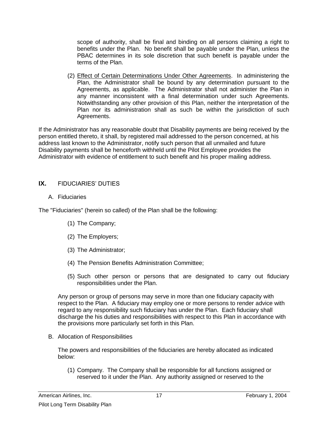scope of authority, shall be final and binding on all persons claiming a right to benefits under the Plan. No benefit shall be payable under the Plan, unless the PBAC determines in its sole discretion that such benefit is payable under the terms of the Plan.

(2) Effect of Certain Determinations Under Other Agreements. In administering the Plan, the Administrator shall be bound by any determination pursuant to the Agreements, as applicable. The Administrator shall not administer the Plan in any manner inconsistent with a final determination under such Agreements. Notwithstanding any other provision of this Plan, neither the interpretation of the Plan nor its administration shall as such be within the jurisdiction of such Agreements.

If the Administrator has any reasonable doubt that Disability payments are being received by the person entitled thereto, it shall, by registered mail addressed to the person concerned, at his address last known to the Administrator, notify such person that all unmailed and future Disability payments shall be henceforth withheld until the Pilot Employee provides the Administrator with evidence of entitlement to such benefit and his proper mailing address.

## **IX.** FIDUCIARIES' DUTIES

## A. Fiduciaries

The "Fiduciaries" (herein so called) of the Plan shall be the following:

- (1) The Company;
- (2) The Employers;
- (3) The Administrator;
- (4) The Pension Benefits Administration Committee;
- (5) Such other person or persons that are designated to carry out fiduciary responsibilities under the Plan.

Any person or group of persons may serve in more than one fiduciary capacity with respect to the Plan. A fiduciary may employ one or more persons to render advice with regard to any responsibility such fiduciary has under the Plan. Each fiduciary shall discharge the his duties and responsibilities with respect to this Plan in accordance with the provisions more particularly set forth in this Plan.

B. Allocation of Responsibilities

The powers and responsibilities of the fiduciaries are hereby allocated as indicated below:

(1) Company. The Company shall be responsible for all functions assigned or reserved to it under the Plan. Any authority assigned or reserved to the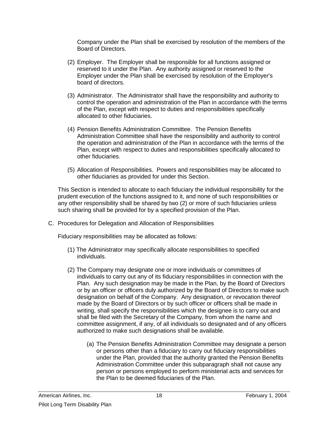Company under the Plan shall be exercised by resolution of the members of the Board of Directors.

- (2) Employer. The Employer shall be responsible for all functions assigned or reserved to it under the Plan. Any authority assigned or reserved to the Employer under the Plan shall be exercised by resolution of the Employer's board of directors.
- (3) Administrator. The Administrator shall have the responsibility and authority to control the operation and administration of the Plan in accordance with the terms of the Plan, except with respect to duties and responsibilities specifically allocated to other fiduciaries.
- (4) Pension Benefits Administration Committee. The Pension Benefits Administration Committee shall have the responsibility and authority to control the operation and administration of the Plan in accordance with the terms of the Plan, except with respect to duties and responsibilities specifically allocated to other fiduciaries.
- (5) Allocation of Responsibilities. Powers and responsibilities may be allocated to other fiduciaries as provided for under this Section.

This Section is intended to allocate to each fiduciary the individual responsibility for the prudent execution of the functions assigned to it, and none of such responsibilities or any other responsibility shall be shared by two (2) or more of such fiduciaries unless such sharing shall be provided for by a specified provision of the Plan.

C. Procedures for Delegation and Allocation of Responsibilities

Fiduciary responsibilities may be allocated as follows:

- (1) The Administrator may specifically allocate responsibilities to specified individuals.
- (2) The Company may designate one or more individuals or committees of individuals to carry out any of its fiduciary responsibilities in connection with the Plan. Any such designation may be made in the Plan, by the Board of Directors or by an officer or officers duly authorized by the Board of Directors to make such designation on behalf of the Company. Any designation, or revocation thereof made by the Board of Directors or by such officer or officers shall be made in writing, shall specify the responsibilities which the designee is to carry out and shall be filed with the Secretary of the Company, from whom the name and committee assignment, if any, of all individuals so designated and of any officers authorized to make such designations shall be available.
	- (a) The Pension Benefits Administration Committee may designate a person or persons other than a fiduciary to carry out fiduciary responsibilities under the Plan, provided that the authority granted the Pension Benefits Administration Committee under this subparagraph shall not cause any person or persons employed to perform ministerial acts and services for the Plan to be deemed fiduciaries of the Plan.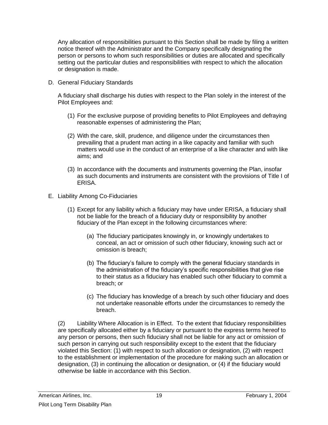Any allocation of responsibilities pursuant to this Section shall be made by filing a written notice thereof with the Administrator and the Company specifically designating the person or persons to whom such responsibilities or duties are allocated and specifically setting out the particular duties and responsibilities with respect to which the allocation or designation is made.

D. General Fiduciary Standards

A fiduciary shall discharge his duties with respect to the Plan solely in the interest of the Pilot Employees and:

- (1) For the exclusive purpose of providing benefits to Pilot Employees and defraying reasonable expenses of administering the Plan;
- (2) With the care, skill, prudence, and diligence under the circumstances then prevailing that a prudent man acting in a like capacity and familiar with such matters would use in the conduct of an enterprise of a like character and with like aims; and
- (3) In accordance with the documents and instruments governing the Plan, insofar as such documents and instruments are consistent with the provisions of Title I of ERISA.
- E. Liability Among Co-Fiduciaries
	- (1) Except for any liability which a fiduciary may have under ERISA, a fiduciary shall not be liable for the breach of a fiduciary duty or responsibility by another fiduciary of the Plan except in the following circumstances where:
		- (a) The fiduciary participates knowingly in, or knowingly undertakes to conceal, an act or omission of such other fiduciary, knowing such act or omission is breach;
		- (b) The fiduciary's failure to comply with the general fiduciary standards in the administration of the fiduciary's specific responsibilities that give rise to their status as a fiduciary has enabled such other fiduciary to commit a breach; or
		- (c) The fiduciary has knowledge of a breach by such other fiduciary and does not undertake reasonable efforts under the circumstances to remedy the breach.

(2) Liability Where Allocation is in Effect. To the extent that fiduciary responsibilities are specifically allocated either by a fiduciary or pursuant to the express terms hereof to any person or persons, then such fiduciary shall not be liable for any act or omission of such person in carrying out such responsibility except to the extent that the fiduciary violated this Section: (1) with respect to such allocation or designation, (2) with respect to the establishment or implementation of the procedure for making such an allocation or designation, (3) in continuing the allocation or designation, or (4) if the fiduciary would otherwise be liable in accordance with this Section.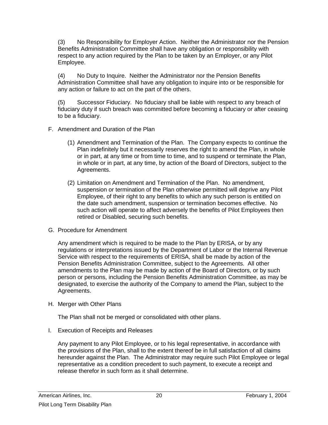(3) No Responsibility for Employer Action. Neither the Administrator nor the Pension Benefits Administration Committee shall have any obligation or responsibility with respect to any action required by the Plan to be taken by an Employer, or any Pilot Employee.

(4) No Duty to Inquire. Neither the Administrator nor the Pension Benefits Administration Committee shall have any obligation to inquire into or be responsible for any action or failure to act on the part of the others.

(5) Successor Fiduciary. No fiduciary shall be liable with respect to any breach of fiduciary duty if such breach was committed before becoming a fiduciary or after ceasing to be a fiduciary.

- F. Amendment and Duration of the Plan
	- (1) Amendment and Termination of the Plan. The Company expects to continue the Plan indefinitely but it necessarily reserves the right to amend the Plan, in whole or in part, at any time or from time to time, and to suspend or terminate the Plan, in whole or in part, at any time, by action of the Board of Directors, subject to the Agreements.
	- (2) Limitation on Amendment and Termination of the Plan. No amendment, suspension or termination of the Plan otherwise permitted will deprive any Pilot Employee, of their right to any benefits to which any such person is entitled on the date such amendment, suspension or termination becomes effective. No such action will operate to affect adversely the benefits of Pilot Employees then retired or Disabled, securing such benefits.
- G. Procedure for Amendment

Any amendment which is required to be made to the Plan by ERISA, or by any regulations or interpretations issued by the Department of Labor or the Internal Revenue Service with respect to the requirements of ERISA, shall be made by action of the Pension Benefits Administration Committee, subject to the Agreements. All other amendments to the Plan may be made by action of the Board of Directors, or by such person or persons, including the Pension Benefits Administration Committee, as may be designated, to exercise the authority of the Company to amend the Plan, subject to the Agreements.

H. Merger with Other Plans

The Plan shall not be merged or consolidated with other plans.

I. Execution of Receipts and Releases

Any payment to any Pilot Employee, or to his legal representative, in accordance with the provisions of the Plan, shall to the extent thereof be in full satisfaction of all claims hereunder against the Plan. The Administrator may require such Pilot Employee or legal representative as a condition precedent to such payment, to execute a receipt and release therefor in such form as it shall determine.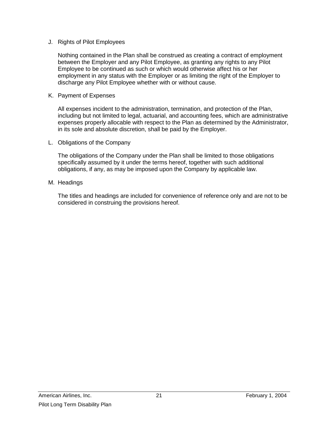#### J. Rights of Pilot Employees

Nothing contained in the Plan shall be construed as creating a contract of employment between the Employer and any Pilot Employee, as granting any rights to any Pilot Employee to be continued as such or which would otherwise affect his or her employment in any status with the Employer or as limiting the right of the Employer to discharge any Pilot Employee whether with or without cause.

#### K. Payment of Expenses

All expenses incident to the administration, termination, and protection of the Plan, including but not limited to legal, actuarial, and accounting fees, which are administrative expenses properly allocable with respect to the Plan as determined by the Administrator, in its sole and absolute discretion, shall be paid by the Employer.

#### L. Obligations of the Company

The obligations of the Company under the Plan shall be limited to those obligations specifically assumed by it under the terms hereof, together with such additional obligations, if any, as may be imposed upon the Company by applicable law.

#### M. Headings

The titles and headings are included for convenience of reference only and are not to be considered in construing the provisions hereof.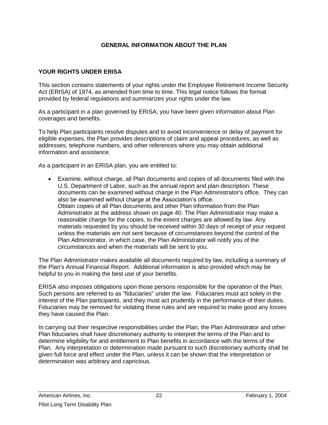## **GENERAL INFORMATION ABOUT THE PLAN**

#### **YOUR RIGHTS UNDER ERISA**

This section contains statements of your rights under the Employee Retirement Income Security Act (ERISA) of 1974, as amended from time to time. This legal notice follows the format provided by federal regulations and summarizes your rights under the law.

As a participant in a plan governed by ERISA, you have been given information about Plan coverages and benefits.

To help Plan participants resolve disputes and to avoid inconvenience or delay of payment for eligible expenses, the Plan provides descriptions of claim and appeal procedures, as well as addresses, telephone numbers, and other references where you may obtain additional information and assistance.

As a participant in an ERISA plan, you are entitled to:

 Examine, without charge, all Plan documents and copies of all documents filed with the U.S. Department of Labor, such as the annual report and plan description. These documents can be examined without charge in the Plan Administrator's office. They can also be examined without charge at the Association's office. Obtain copies of all Plan documents and other Plan information from the Plan Administrator at the address shown on page 40. The Plan Administrator may make a reasonable charge for the copies, to the extent charges are allowed by law. Any materials requested by you should be received within 30 days of receipt of your request unless the materials are not sent because of circumstances beyond the control of the Plan Administrator, in which case, the Plan Administrator will notify you of the circumstances and when the materials will be sent to you.

The Plan Administrator makes available all documents required by law, including a summary of the Plan's Annual Financial Report. Additional information is also provided which may be helpful to you in making the best use of your benefits.

ERISA also imposes obligations upon those persons responsible for the operation of the Plan. Such persons are referred to as "fiduciaries" under the law. Fiduciaries must act solely in the interest of the Plan participants, and they must act prudently in the performance of their duties. Fiduciaries may be removed for violating these rules and are required to make good any losses they have caused the Plan.

In carrying out their respective responsibilities under the Plan, the Plan Administrator and other Plan fiduciaries shall have discretionary authority to interpret the terms of the Plan and to determine eligibility for and entitlement to Plan benefits in accordance with the terms of the Plan. Any interpretation or determination made pursuant to such discretionary authority shall be given full force and effect under the Plan, unless it can be shown that the interpretation or determination was arbitrary and capricious.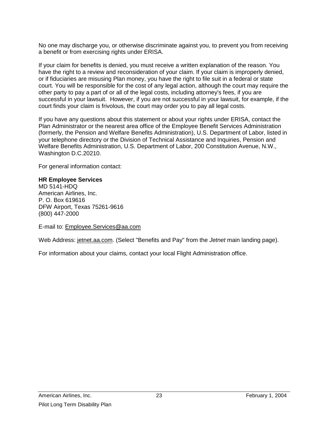No one may discharge you, or otherwise discriminate against you, to prevent you from receiving a benefit or from exercising rights under ERISA.

If your claim for benefits is denied, you must receive a written explanation of the reason. You have the right to a review and reconsideration of your claim. If your claim is improperly denied, or if fiduciaries are misusing Plan money, you have the right to file suit in a federal or state court. You will be responsible for the cost of any legal action, although the court may require the other party to pay a part of or all of the legal costs, including attorney's fees, if you are successful in your lawsuit. However, if you are not successful in your lawsuit, for example, if the court finds your claim is frivolous, the court may order you to pay all legal costs.

If you have any questions about this statement or about your rights under ERISA, contact the Plan Administrator or the nearest area office of the Employee Benefit Services Administration (formerly, the Pension and Welfare Benefits Administration), U.S. Department of Labor, listed in your telephone directory or the Division of Technical Assistance and Inquiries, Pension and Welfare Benefits Administration, U.S. Department of Labor, 200 Constitution Avenue, N.W., Washington D.C.20210.

For general information contact:

#### **HR Employee Services**

MD 5141-HDQ American Airlines, Inc. P. O. Box 619616 DFW Airport, Texas 75261-9616 (800) 447-2000

E-mail to: [Employee.Services@aa.com](mailto:Employee.Services@aa.com)

Web Address: [jetnet.aa.com.](http://jetnet.aa.com/) (Select "Benefits and Pay" from the *Jetnet* main landing page).

For information about your claims, contact your local Flight Administration office.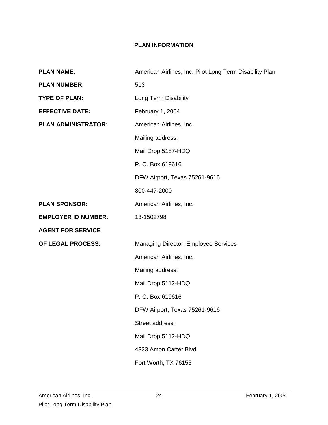## **PLAN INFORMATION**

| <b>PLAN NAME:</b>          | American Airlines, Inc. Pilot Long Term Disability Plan |
|----------------------------|---------------------------------------------------------|
| <b>PLAN NUMBER:</b>        | 513                                                     |
| <b>TYPE OF PLAN:</b>       | Long Term Disability                                    |
| <b>EFFECTIVE DATE:</b>     | February 1, 2004                                        |
| <b>PLAN ADMINISTRATOR:</b> | American Airlines, Inc.                                 |
|                            | Mailing address:                                        |
|                            | Mail Drop 5187-HDQ                                      |
|                            | P. O. Box 619616                                        |
|                            | DFW Airport, Texas 75261-9616                           |
|                            | 800-447-2000                                            |
| <b>PLAN SPONSOR:</b>       | American Airlines, Inc.                                 |
| <b>EMPLOYER ID NUMBER:</b> | 13-1502798                                              |
| <b>AGENT FOR SERVICE</b>   |                                                         |
| <b>OF LEGAL PROCESS:</b>   | Managing Director, Employee Services                    |
|                            | American Airlines, Inc.                                 |
|                            | Mailing address:                                        |
|                            | Mail Drop 5112-HDQ                                      |
|                            | P. O. Box 619616                                        |
|                            | DFW Airport, Texas 75261-9616                           |
|                            | Street address:                                         |
|                            | Mail Drop 5112-HDQ                                      |
|                            | 4333 Amon Carter Blvd                                   |
|                            | Fort Worth, TX 76155                                    |